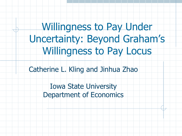Willingness to Pay Under Uncertainty: Beyond Graham's Willingness to Pay Locus

Catherine L. Kling and Jinhua Zhao

Iowa State University Department of Economics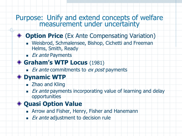#### Purpose: Unify and extend concepts of welfare measurement under uncertainty

#### **Option Price** (Ex Ante Compensating Variation)

- Weisbrod, Schmalensee, Bishop, Cichetti and Freeman Helms, Smith, Ready
- $E\times$  *Ex ante* Payments

#### **Graham's WTP Locus** (1981)

 $\blacksquare$  Ex ante commitments to ex post payments

#### **Dynamic WTP**

- **E** Zhao and Kling
- $\blacksquare$  Ex ante payments incorporating value of learning and delay opportunities

#### **Quasi Option Value**

- **Example 2 Arrow and Fisher, Henry, Fisher and Hanemann**
- $\blacksquare$  Ex ante adjustment to decision rule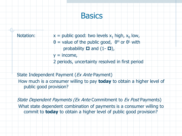#### **Basics**

Notation:  $x =$  public good: two levels  $x_1$  high,  $x_0$  low,  $\theta$  = value of the public good,  $\theta^H$  or  $\theta^L$  with probability  $\Box$  and  $(1-\Box)$ ,  $y =$  income, 2 periods, uncertainty resolved in first period

State Independent Payment (Ex Ante Payment) How much is a consumer willing to pay **today** to obtain a higher level of public good provision?

State Dependent Payments (Ex Ante Commitment to Ex Post Payments) What state dependent combination of payments is a consumer willing to commit to **today** to obtain a higher level of public good provision?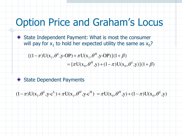# Option Price and Graham's Locus

State Independent Payment: What is most the consumer will pay for  $x_1$  to hold her expected utility the same as  $x_0$ ?

$$
\{(1-\pi)U(x_1,\theta^L,y\text{-OP})+\pi U(x_1,\theta^H,y\text{-OP})\}(1+\beta)
$$

$$
= {\pi \mathbf{U}(\mathbf{x}_0, \theta^H, \mathbf{y}) + (1 - \pi) \mathbf{U}(\mathbf{x}_0, \theta^L, \mathbf{y}) } (1 + \beta)
$$

State Dependent Payments

$$
(1 - \pi)U(x_1, \theta^L, y - c^L) + \pi U(x_1, \theta^H, y - c^H) = \pi U(x_0, \theta^H, y) + (1 - \pi)U(x_0, \theta^L, y)
$$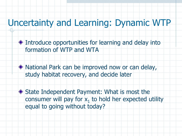## Uncertainty and Learning: Dynamic WTP

- Introduce opportunities for learning and delay into formation of WTP and WTA
- National Park can be improved now or can delay, study habitat recovery, and decide later
- ◆ State Independent Payment: What is most the consumer will pay for  $x_1$  to hold her expected utility equal to going without today?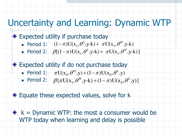### Uncertainty and Learning: Dynamic WTP

#### Expected utility if purchase today

- Period 1:  $(1 \pi)U(x_1, \theta^L, y k) + \pi U(x_1, \theta^H, y k)$
- Period 2:  $\beta[(1-\pi)U(x_1,\theta^L,y-k) + \pi U(x_1,\theta^H,y-k)]$

# Expected utility if do not purchase today

- Period  $1: \quad \pi U(x_0, \theta^H, y) + (1 \pi)U(x_0, \theta^L, y)$
- Period 2:  $\beta {\pi}U(x_1, \theta^H, y-k) + (1-\pi)U(x_0, \theta^L, y)$

#### **Equate these expected values, solve for k**

 $\bullet$  k = Dynamic WTP: the most a consumer would be WTP today when learning and delay is possible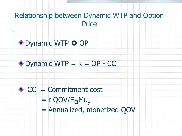#### Relationship between Dynamic WTP and Option **Price**



### $\bullet$  Dynamic WTP =  $k = OP - CC$



- $= r QOV/E$ <sub>D</sub>Mu<sub>v</sub>
- = Annualized, monetized QOV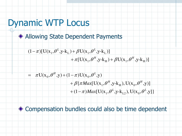## Dynamic WTP Locus

Allowing State Dependent Payments

$$
\frac{(1-\pi)[U(x_1,\theta^L,y-k_L)+\beta U(x_1,\theta^L,y-k_L)]}{+\pi[U(x_1,\theta^H,y-k_H)+\beta U(x_1,\theta^H,y-k_H)]}
$$

$$
= \pi U(\mathbf{x}_0, \theta^H, \mathbf{y}) + (1 - \pi) U(\mathbf{x}_0, \theta^L, \mathbf{y})
$$
  
+  $\beta {\pi} Max[U(\mathbf{x}_1, \theta^H, \mathbf{y}_1 | \mathbf{k}_H), U(\mathbf{x}_0, \theta^H, \mathbf{y}_I)]$   
+  $(1 - \pi) Max[U(\mathbf{x}_1, \theta^L, \mathbf{y}_1 | \mathbf{k}_{L2}), U(\mathbf{x}_0, \theta^L, \mathbf{y}_I)]$ 

#### Compensation bundles could also be time dependent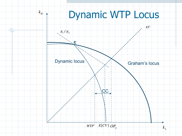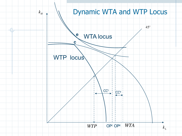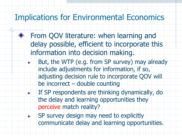### Implications for Environmental Economics

- From QOV literature: when learning and delay possible, efficient to incorporate this information into decision making.
	- But, the WTP (e.g. from SP survey) may already include adjustments for information, if so, adjusting decision rule to incorporate QOV will be incorrect – double counting
		- If SP respondents are thinking dynamically, do the delay and learning opportunities they perceive match reality?
		- SP survey design may need to explicitly communicate delay and learning opportunities.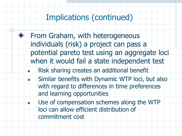### Implications (continued)

- From Graham, with heterogeneous individuals (risk) a project can pass a potential pareto test using an aggregate loci when it would fail a state independent test
	- Risk sharing creates an additional benefit
- Similar benefits with Dynamic WTP loci, but also with regard to differences in time preferences and learning opportunities
	- Use of compensation schemes along the WTP loci can allow efficient distribution of commitment cost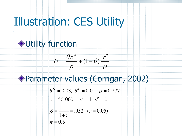# Illustration: CES Utility

# **◆ Utility function**



### Parameter values (Corrigan, 2002)

$$
\theta^H = 0.03, \; \theta^L = 0.01, \; \rho = 0.277
$$

$$
y = 50,000, \quad x^1 = 1, \ x^0 = 0
$$

$$
\beta = \frac{1}{1+r} = .952 \quad (r = 0.05)
$$

$$
\pi=0.5
$$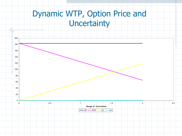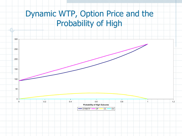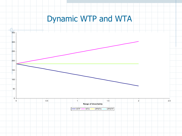